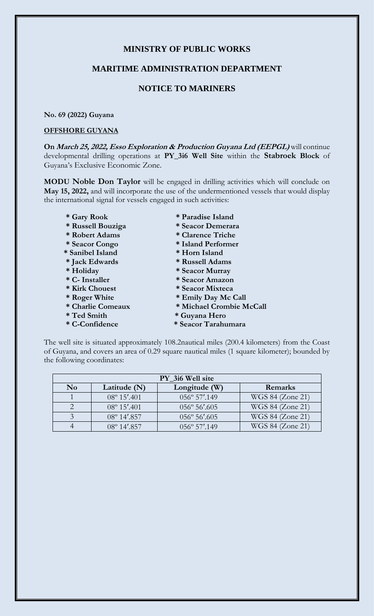# **MINISTRY OF PUBLIC WORKS**

### **MARITIME ADMINISTRATION DEPARTMENT**

# **NOTICE TO MARINERS**

#### **No. 69 (2022) Guyana**

#### **OFFSHORE GUYANA**

**On March 25, 2022, Esso Exploration & Production Guyana Ltd (EEPGL)** will continue developmental drilling operations at **PY\_3i6 Well Site** within the **Stabroek Block** of Guyana's Exclusive Economic Zone.

**MODU Noble Don Taylor** will be engaged in drilling activities which will conclude on **May 15, 2022,** and will incorporate the use of the undermentioned vessels that would display the international signal for vessels engaged in such activities:

- 
- 
- 
- 
- 
- 
- 
- 
- 
- 
- 
- 
- 
- **\* Gary Rook \* Paradise Island**
- **\* Russell Bouziga \* Seacor Demerara**
- **\* Robert Adams \* Clarence Triche**
- **\* Seacor Congo \* Island Performer**
- **\* Sanibel Island \* Horn Island**
- **\* Jack Edwards \* Russell Adams**
- **\* Holiday \* Seacor Murray**
- **\* C- Installer \* Seacor Amazon**
- **\* Kirk Chouest \* Seacor Mixteca**
- **\* Roger White \* Emily Day Mc Call**
- **\* Charlie Comeaux \* Michael Crombie McCall**
- **\* Ted Smith \* Guyana Hero**
- **\* C-Confidence \* Seacor Tarahumara**

The well site is situated approximately 108.2nautical miles (200.4 kilometers) from the Coast of Guyana, and covers an area of 0.29 square nautical miles (1 square kilometer); bounded by the following coordinates:

| PY 3i6 Well site       |                       |                        |                  |
|------------------------|-----------------------|------------------------|------------------|
| $\mathbf{N}\mathbf{o}$ | Latitude $(N)$        | Longitude (W)          | Remarks          |
|                        | $08^{\circ} 15'$ .401 | $056^{\circ} 57'$ .149 | WGS 84 (Zone 21) |
|                        | $08^{\circ} 15'$ .401 | $056^{\circ} 56'$ .605 | WGS 84 (Zone 21) |
|                        | $08^{\circ}$ 14'.857  | $056^{\circ} 56'$ .605 | WGS 84 (Zone 21) |
|                        | $08^{\circ}$ 14'.857  | $0.56^{\circ}$ 57'.149 | WGS 84 (Zone 21) |